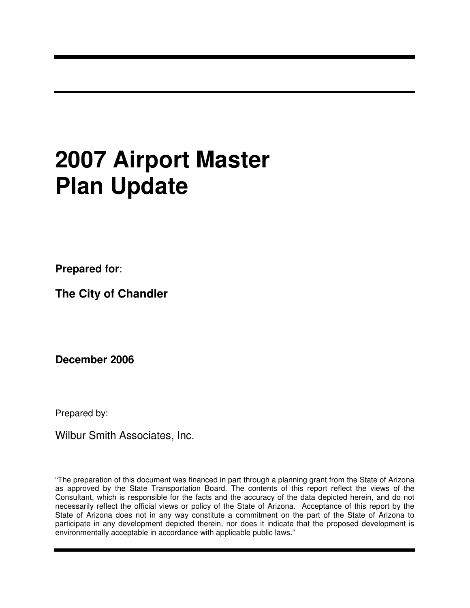# **2007 Airport Master Plan Update**

**Prepared for**:

**The City of Chandler**

**December 2006**

Prepared by:

Wilbur Smith Associates, Inc.

"The preparation of this document was financed in part through a planning grant from the State of Arizona as approved by the State Transportation Board. The contents of this report reflect the views of the Consultant, which is responsible for the facts and the accuracy of the data depicted herein, and do not necessarily reflect the official views or policy of the State of Arizona. Acceptance of this report by the State of Arizona does not in any way constitute a commitment on the part of the State of Arizona to participate in any development depicted therein, nor does it indicate that the proposed development is environmentally acceptable in accordance with applicable public laws."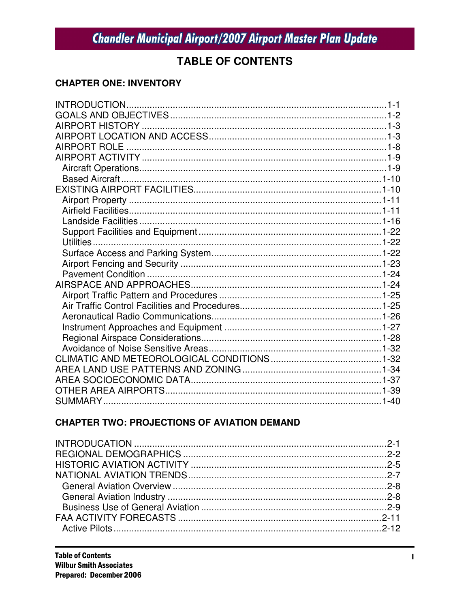### **TABLE OF CONTENTS**

#### **CHAPTER ONE: INVENTORY**

### **CHAPTER TWO: PROJECTIONS OF AVIATION DEMAND**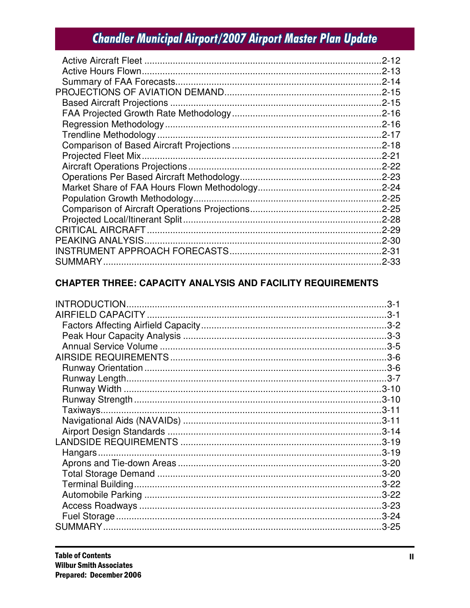| $.2 - 12$ |
|-----------|
|           |
|           |
|           |
|           |
|           |
|           |
|           |
|           |
|           |
|           |
|           |
|           |
|           |
|           |
|           |
|           |
|           |
|           |
|           |
|           |

### **CHAPTER THREE: CAPACITY ANALYSIS AND FACILITY REQUIREMENTS**

| $3 - 1$ |
|---------|
|         |
|         |
|         |
|         |
|         |
|         |
|         |
|         |
|         |
|         |
|         |
|         |
|         |
|         |
|         |
|         |
|         |
|         |
|         |
|         |
|         |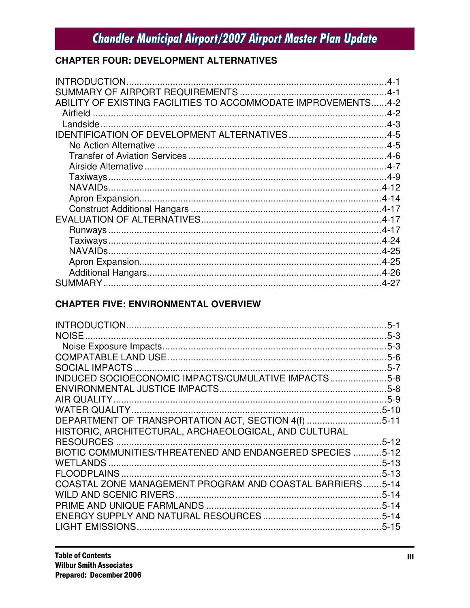### **CHAPTER FOUR: DEVELOPMENT ALTERNATIVES**

| ABILITY OF EXISTING FACILITIES TO ACCOMMODATE IMPROVEMENTS4-2 |  |
|---------------------------------------------------------------|--|
| Airfield                                                      |  |
|                                                               |  |
|                                                               |  |
|                                                               |  |
|                                                               |  |
|                                                               |  |
|                                                               |  |
|                                                               |  |
|                                                               |  |
|                                                               |  |
|                                                               |  |
|                                                               |  |
|                                                               |  |
|                                                               |  |
|                                                               |  |
|                                                               |  |
|                                                               |  |

### **CHAPTER FIVE: ENVIRONMENTAL OVERVIEW**

|                                                           | $5 - 1$   |
|-----------------------------------------------------------|-----------|
| NOISE.                                                    |           |
|                                                           |           |
|                                                           |           |
|                                                           |           |
| INDUCED SOCIOECONOMIC IMPACTS/CUMULATIVE IMPACTS5-8       |           |
|                                                           |           |
|                                                           |           |
|                                                           |           |
| DEPARTMENT OF TRANSPORTATION ACT, SECTION 4(f) 5-11       |           |
| HISTORIC, ARCHITECTURAL, ARCHAEOLOGICAL, AND CULTURAL     |           |
|                                                           | $.5 - 12$ |
| BIOTIC COMMUNITIES/THREATENED AND ENDANGERED SPECIES 5-12 |           |
|                                                           |           |
|                                                           |           |
| COASTAL ZONE MANAGEMENT PROGRAM AND COASTAL BARRIERS5-14  |           |
|                                                           |           |
|                                                           |           |
|                                                           |           |
|                                                           |           |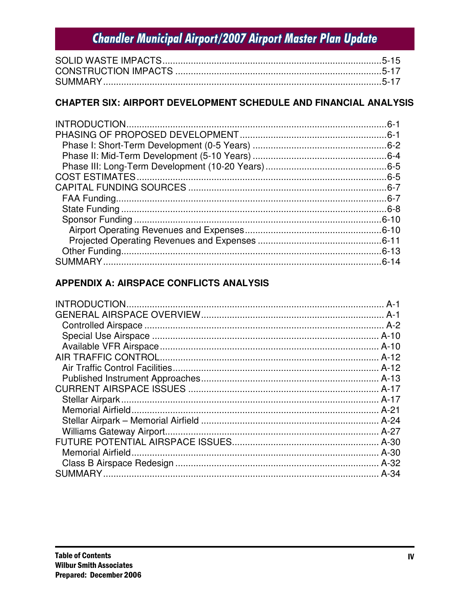### CHAPTER SIX: AIRPORT DEVELOPMENT SCHEDULE AND FINANCIAL ANALYSIS

### APPENDIX A: AIRSPACE CONFLICTS ANALYSIS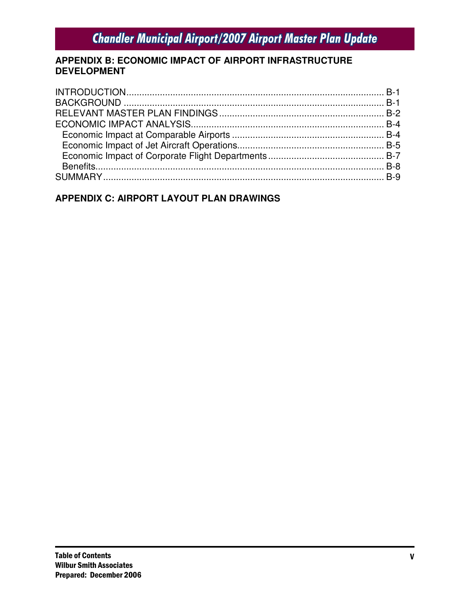#### APPENDIX B: ECONOMIC IMPACT OF AIRPORT INFRASTRUCTURE **DEVELOPMENT**

### APPENDIX C: AIRPORT LAYOUT PLAN DRAWINGS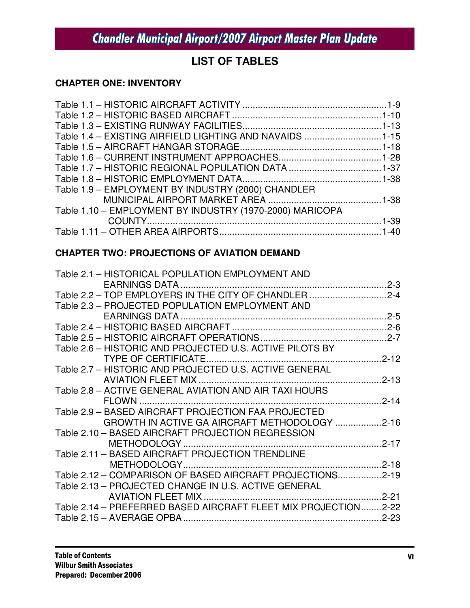### **LIST OF TABLES**

### **CHAPTER ONE: INVENTORY**

| Table 1.4 - EXISTING AIRFIELD LIGHTING AND NAVAIDS 1-15  |  |
|----------------------------------------------------------|--|
|                                                          |  |
|                                                          |  |
|                                                          |  |
|                                                          |  |
| Table 1.9 - EMPLOYMENT BY INDUSTRY (2000) CHANDLER       |  |
|                                                          |  |
| Table 1.10 - EMPLOYMENT BY INDUSTRY (1970-2000) MARICOPA |  |
|                                                          |  |
|                                                          |  |
|                                                          |  |

### **CHAPTER TWO: PROJECTIONS OF AVIATION DEMAND**

| Table 2.1 - HISTORICAL POPULATION EMPLOYMENT AND               |  |
|----------------------------------------------------------------|--|
|                                                                |  |
| Table 2.2 - TOP EMPLOYERS IN THE CITY OF CHANDLER 2-4          |  |
| Table 2.3 - PROJECTED POPULATION EMPLOYMENT AND                |  |
|                                                                |  |
|                                                                |  |
|                                                                |  |
| Table 2.6 - HISTORIC AND PROJECTED U.S. ACTIVE PILOTS BY       |  |
| TYPE OF CERTIFICATE                                            |  |
| Table 2.7 - HISTORIC AND PROJECTED U.S. ACTIVE GENERAL         |  |
| <b>AVIATION FLEET MIX </b>                                     |  |
| Table 2.8 - ACTIVE GENERAL AVIATION AND AIR TAXI HOURS         |  |
|                                                                |  |
| Table 2.9 - BASED AIRCRAFT PROJECTION FAA PROJECTED            |  |
| GROWTH IN ACTIVE GA AIRCRAFT METHODOLOGY 2-16                  |  |
| Table 2.10 - BASED AIRCRAFT PROJECTION REGRESSION              |  |
| METHODOLOGY                                                    |  |
| Table 2.11 - BASED AIRCRAFT PROJECTION TRENDLINE               |  |
|                                                                |  |
| Table 2.12 - COMPARISON OF BASED AIRCRAFT PROJECTIONS2-19      |  |
| Table 2.13 - PROJECTED CHANGE IN U.S. ACTIVE GENERAL           |  |
| <b>AVIATION FLEET MIX </b>                                     |  |
| Table 2.14 - PREFERRED BASED AIRCRAFT FLEET MIX PROJECTION2-22 |  |
|                                                                |  |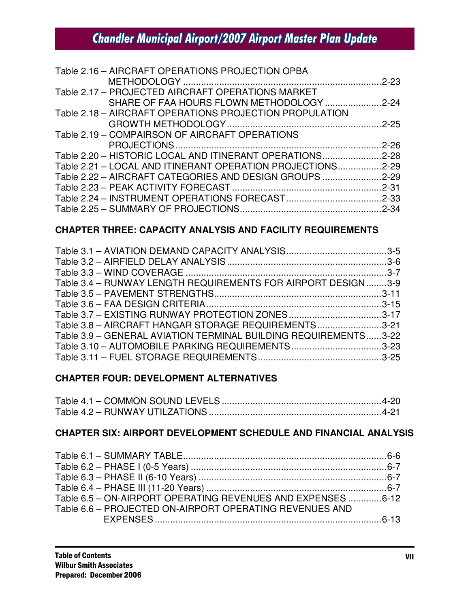| Table 2.16 - AIRCRAFT OPERATIONS PROJECTION OPBA           |  |
|------------------------------------------------------------|--|
|                                                            |  |
| Table 2.17 - PROJECTED AIRCRAFT OPERATIONS MARKET          |  |
| SHARE OF FAA HOURS FLOWN METHODOLOGY 2-24                  |  |
| Table 2.18 - AIRCRAFT OPERATIONS PROJECTION PROPULATION    |  |
|                                                            |  |
| Table 2.19 - COMPAIRSON OF AIRCRAFT OPERATIONS             |  |
|                                                            |  |
| Table 2.20 - HISTORIC LOCAL AND ITINERANT OPERATIONS2-28   |  |
| Table 2.21 - LOCAL AND ITINERANT OPERATION PROJECTIONS2-29 |  |
| Table 2.22 - AIRCRAFT CATEGORIES AND DESIGN GROUPS 2-29    |  |
|                                                            |  |
|                                                            |  |
|                                                            |  |

#### **CHAPTER THREE: CAPACITY ANALYSIS AND FACILITY REQUIREMENTS**

| Table 3.4 - RUNWAY LENGTH REQUIREMENTS FOR AIRPORT DESIGN3-9    |  |
|-----------------------------------------------------------------|--|
|                                                                 |  |
|                                                                 |  |
|                                                                 |  |
| Table 3.8 - AIRCRAFT HANGAR STORAGE REQUIREMENTS3-21            |  |
| Table 3.9 - GENERAL AVIATION TERMINAL BUILDING REQUIREMENTS3-22 |  |
| Table 3.10 - AUTOMOBILE PARKING REQUIREMENTS3-23                |  |
|                                                                 |  |

#### **CHAPTER FOUR: DEVELOPMENT ALTERNATIVES**

#### **CHAPTER SIX: AIRPORT DEVELOPMENT SCHEDULE AND FINANCIAL ANALYSIS**

| Table 6.5 - ON-AIRPORT OPERATING REVENUES AND EXPENSES 6-12 |  |
|-------------------------------------------------------------|--|
| Table 6.6 - PROJECTED ON-AIRPORT OPERATING REVENUES AND     |  |
|                                                             |  |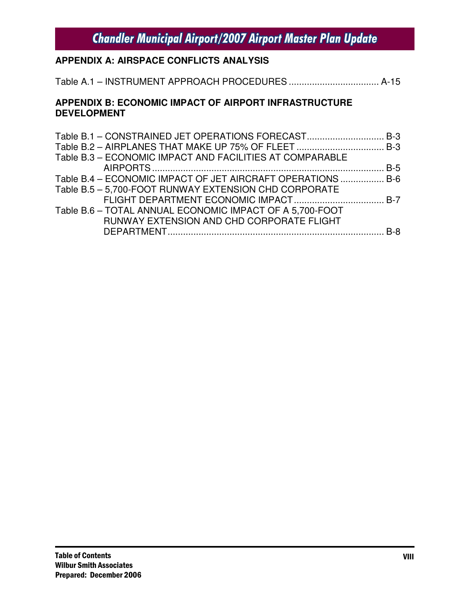### **APPENDIX A: AIRSPACE CONFLICTS ANALYSIS**

Table A.1 – INSTRUMENT APPROACH PROCEDURES ................................... A-15

#### **APPENDIX B: ECONOMIC IMPACT OF AIRPORT INFRASTRUCTURE DEVELOPMENT**

| Table B.1 - CONSTRAINED JET OPERATIONS FORECAST B-3         |  |
|-------------------------------------------------------------|--|
|                                                             |  |
| Table B.3 - ECONOMIC IMPACT AND FACILITIES AT COMPARABLE    |  |
|                                                             |  |
| Table B.4 – ECONOMIC IMPACT OF JET AIRCRAFT OPERATIONS  B-6 |  |
| Table B.5 - 5,700-FOOT RUNWAY EXTENSION CHD CORPORATE       |  |
|                                                             |  |
| Table B.6 - TOTAL ANNUAL ECONOMIC IMPACT OF A 5,700-FOOT    |  |
| RUNWAY EXTENSION AND CHD CORPORATE FLIGHT                   |  |
|                                                             |  |
|                                                             |  |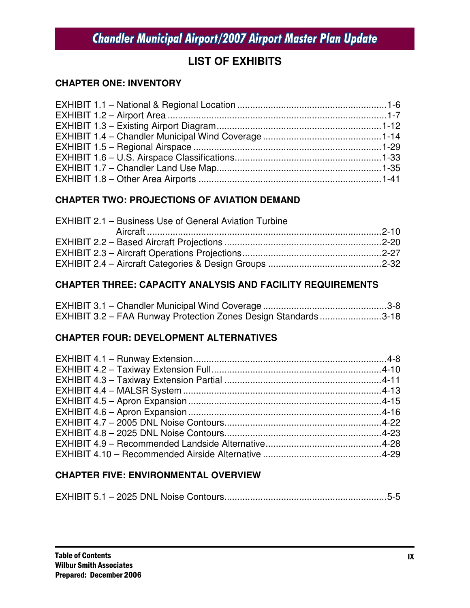### **LIST OF EXHIBITS**

### **CHAPTER ONE: INVENTORY**

### **CHAPTER TWO: PROJECTIONS OF AVIATION DEMAND**

#### **CHAPTER THREE: CAPACITY ANALYSIS AND FACILITY REQUIREMENTS**

| EXHIBIT 3.2 - FAA Runway Protection Zones Design Standards3-18 |  |
|----------------------------------------------------------------|--|

### **CHAPTER FOUR: DEVELOPMENT ALTERNATIVES**

### **CHAPTER FIVE: ENVIRONMENTAL OVERVIEW**

|--|--|--|